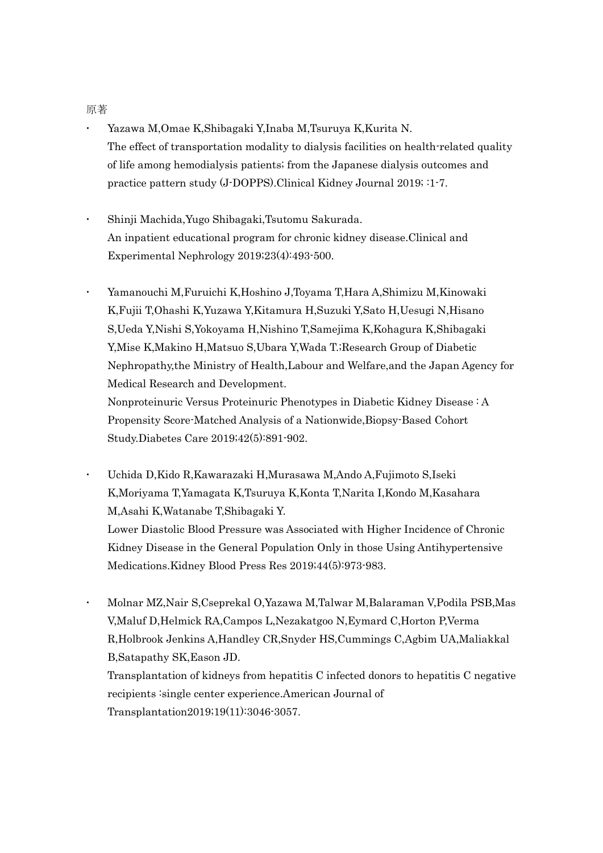## 原著

- Yazawa M,Omae K,Shibagaki Y,Inaba M,Tsuruya K,Kurita N. The effect of transportation modality to dialysis facilities on health-related quality of life among hemodialysis patients; from the Japanese dialysis outcomes and practice pattern study (J-DOPPS).Clinical Kidney Journal 2019; :1-7.
- Shinji Machida,Yugo Shibagaki,Tsutomu Sakurada. An inpatient educational program for chronic kidney disease.Clinical and Experimental Nephrology 2019;23(4):493-500.
- Yamanouchi M,Furuichi K,Hoshino J,Toyama T,Hara A,Shimizu M,Kinowaki K,Fujii T,Ohashi K,Yuzawa Y,Kitamura H,Suzuki Y,Sato H,Uesugi N,Hisano S,Ueda Y,Nishi S,Yokoyama H,Nishino T,Samejima K,Kohagura K,Shibagaki Y,Mise K,Makino H,Matsuo S,Ubara Y,Wada T.;Research Group of Diabetic Nephropathy,the Ministry of Health,Labour and Welfare,and the Japan Agency for Medical Research and Development.
	- Nonproteinuric Versus Proteinuric Phenotypes in Diabetic Kidney Disease : A Propensity Score-Matched Analysis of a Nationwide,Biopsy-Based Cohort Study.Diabetes Care 2019;42(5):891-902.
- Uchida D,Kido R,Kawarazaki H,Murasawa M,Ando A,Fujimoto S,Iseki K,Moriyama T,Yamagata K,Tsuruya K,Konta T,Narita I,Kondo M,Kasahara M,Asahi K,Watanabe T,Shibagaki Y. Lower Diastolic Blood Pressure was Associated with Higher Incidence of Chronic Kidney Disease in the General Population Only in those Using Antihypertensive Medications.Kidney Blood Press Res 2019;44(5):973-983.
- Molnar MZ,Nair S,Cseprekal O,Yazawa M,Talwar M,Balaraman V,Podila PSB,Mas V,Maluf D,Helmick RA,Campos L,Nezakatgoo N,Eymard C,Horton P,Verma R,Holbrook Jenkins A,Handley CR,Snyder HS,Cummings C,Agbim UA,Maliakkal B,Satapathy SK,Eason JD.

Transplantation of kidneys from hepatitis C infected donors to hepatitis C negative recipients :single center experience.American Journal of Transplantation2019;19(11):3046-3057.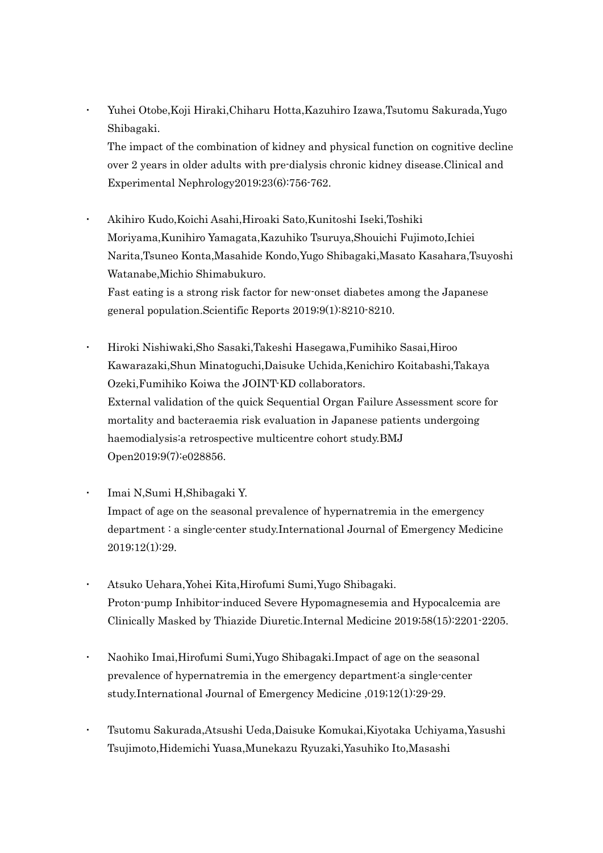Yuhei Otobe,Koji Hiraki,Chiharu Hotta,Kazuhiro Izawa,Tsutomu Sakurada,Yugo Shibagaki.

The impact of the combination of kidney and physical function on cognitive decline over 2 years in older adults with pre-dialysis chronic kidney disease.Clinical and Experimental Nephrology2019;23(6):756-762.

 Akihiro Kudo,Koichi Asahi,Hiroaki Sato,Kunitoshi Iseki,Toshiki Moriyama,Kunihiro Yamagata,Kazuhiko Tsuruya,Shouichi Fujimoto,Ichiei Narita,Tsuneo Konta,Masahide Kondo,Yugo Shibagaki,Masato Kasahara,Tsuyoshi Watanabe,Michio Shimabukuro.

Fast eating is a strong risk factor for new-onset diabetes among the Japanese general population.Scientific Reports 2019;9(1):8210-8210.

- Hiroki Nishiwaki,Sho Sasaki,Takeshi Hasegawa,Fumihiko Sasai,Hiroo Kawarazaki,Shun Minatoguchi,Daisuke Uchida,Kenichiro Koitabashi,Takaya Ozeki,Fumihiko Koiwa the JOINT-KD collaborators. External validation of the quick Sequential Organ Failure Assessment score for mortality and bacteraemia risk evaluation in Japanese patients undergoing haemodialysis:a retrospective multicentre cohort study.BMJ Open2019;9(7):e028856.
- Imai N,Sumi H,Shibagaki Y. Impact of age on the seasonal prevalence of hypernatremia in the emergency department : a single-center study.International Journal of Emergency Medicine 2019;12(1):29.
- Atsuko Uehara,Yohei Kita,Hirofumi Sumi,Yugo Shibagaki. Proton-pump Inhibitor-induced Severe Hypomagnesemia and Hypocalcemia are Clinically Masked by Thiazide Diuretic.Internal Medicine 2019;58(15):2201-2205.
- Naohiko Imai,Hirofumi Sumi,Yugo Shibagaki.Impact of age on the seasonal prevalence of hypernatremia in the emergency department:a single-center study.International Journal of Emergency Medicine ,019;12(1):29-29.
- Tsutomu Sakurada,Atsushi Ueda,Daisuke Komukai,Kiyotaka Uchiyama,Yasushi Tsujimoto,Hidemichi Yuasa,Munekazu Ryuzaki,Yasuhiko Ito,Masashi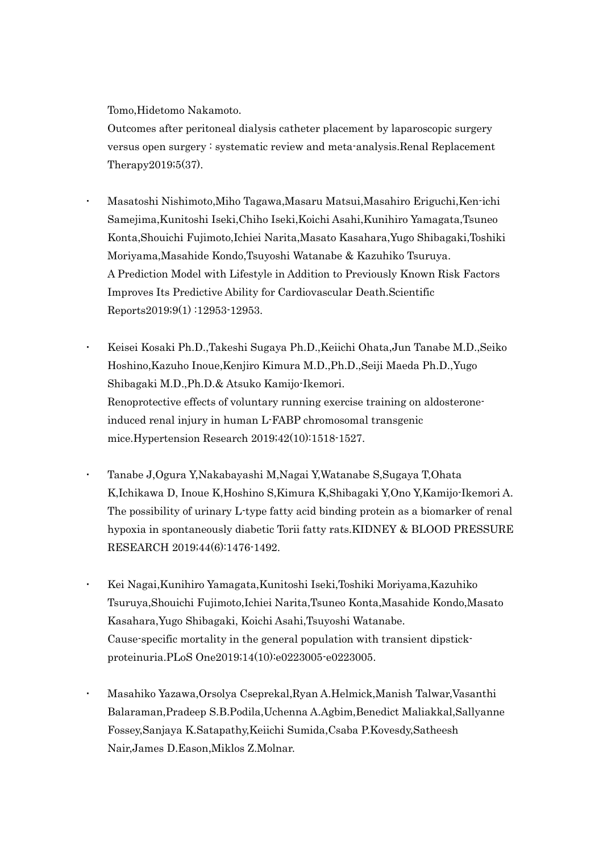Tomo,Hidetomo Nakamoto.

Outcomes after peritoneal dialysis catheter placement by laparoscopic surgery versus open surgery : systematic review and meta-analysis.Renal Replacement Therapy2019;5(37).

- Masatoshi Nishimoto,Miho Tagawa,Masaru Matsui,Masahiro Eriguchi,Ken-ichi Samejima,Kunitoshi Iseki,Chiho Iseki,Koichi Asahi,Kunihiro Yamagata,Tsuneo Konta,Shouichi Fujimoto,Ichiei Narita,Masato Kasahara,Yugo Shibagaki,Toshiki Moriyama,Masahide Kondo,Tsuyoshi Watanabe & Kazuhiko Tsuruya. A Prediction Model with Lifestyle in Addition to Previously Known Risk Factors Improves Its Predictive Ability for Cardiovascular Death.Scientific Reports2019;9(1) :12953-12953.
- Keisei Kosaki Ph.D.,Takeshi Sugaya Ph.D.,Keiichi Ohata,Jun Tanabe M.D.,Seiko Hoshino,Kazuho Inoue,Kenjiro Kimura M.D.,Ph.D.,Seiji Maeda Ph.D.,Yugo Shibagaki M.D.,Ph.D.& Atsuko Kamijo-Ikemori. Renoprotective effects of voluntary running exercise training on aldosteroneinduced renal injury in human L-FABP chromosomal transgenic mice.Hypertension Research 2019;42(10):1518-1527.
- Tanabe J,Ogura Y,Nakabayashi M,Nagai Y,Watanabe S,Sugaya T,Ohata K,Ichikawa D, Inoue K,Hoshino S,Kimura K,Shibagaki Y,Ono Y,Kamijo-Ikemori A. The possibility of urinary L-type fatty acid binding protein as a biomarker of renal hypoxia in spontaneously diabetic Torii fatty rats.KIDNEY & BLOOD PRESSURE RESEARCH 2019;44(6):1476-1492.
- Kei Nagai,Kunihiro Yamagata,Kunitoshi Iseki,Toshiki Moriyama,Kazuhiko Tsuruya,Shouichi Fujimoto,Ichiei Narita,Tsuneo Konta,Masahide Kondo,Masato Kasahara,Yugo Shibagaki, Koichi Asahi,Tsuyoshi Watanabe. Cause-specific mortality in the general population with transient dipstickproteinuria.PLoS One2019;14(10):e0223005-e0223005.
- Masahiko Yazawa,Orsolya Cseprekal,Ryan A.Helmick,Manish Talwar,Vasanthi Balaraman,Pradeep S.B.Podila,Uchenna A.Agbim,Benedict Maliakkal,Sallyanne Fossey,Sanjaya K.Satapathy,Keiichi Sumida,Csaba P.Kovesdy,Satheesh Nair,James D.Eason,Miklos Z.Molnar.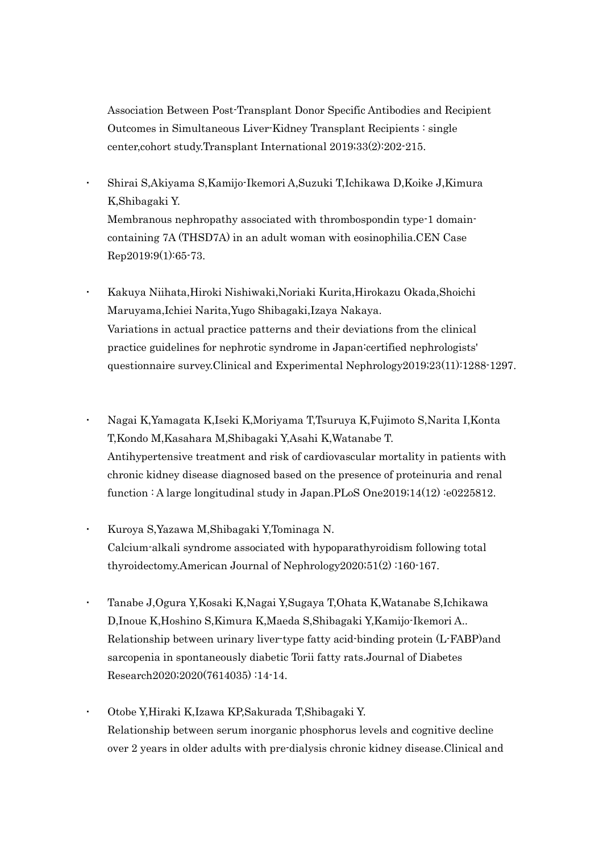Association Between Post-Transplant Donor Specific Antibodies and Recipient Outcomes in Simultaneous Liver-Kidney Transplant Recipients : single center,cohort study.Transplant International 2019;33(2):202-215.

 Shirai S,Akiyama S,Kamijo-Ikemori A,Suzuki T,Ichikawa D,Koike J,Kimura K,Shibagaki Y. Membranous nephropathy associated with thrombospondin type-1 domain-

containing 7A (THSD7A) in an adult woman with eosinophilia.CEN Case Rep2019;9(1):65-73.

- Kakuya Niihata,Hiroki Nishiwaki,Noriaki Kurita,Hirokazu Okada,Shoichi Maruyama,Ichiei Narita,Yugo Shibagaki,Izaya Nakaya. Variations in actual practice patterns and their deviations from the clinical practice guidelines for nephrotic syndrome in Japan:certified nephrologists' questionnaire survey.Clinical and Experimental Nephrology2019;23(11):1288-1297.
- Nagai K,Yamagata K,Iseki K,Moriyama T,Tsuruya K,Fujimoto S,Narita I,Konta T,Kondo M,Kasahara M,Shibagaki Y,Asahi K,Watanabe T. Antihypertensive treatment and risk of cardiovascular mortality in patients with chronic kidney disease diagnosed based on the presence of proteinuria and renal function : A large longitudinal study in Japan.PLoS One2019;14(12) :e0225812.
- Kuroya S,Yazawa M,Shibagaki Y,Tominaga N. Calcium-alkali syndrome associated with hypoparathyroidism following total thyroidectomy.American Journal of Nephrology2020;51(2) :160-167.
- Tanabe J,Ogura Y,Kosaki K,Nagai Y,Sugaya T,Ohata K,Watanabe S,Ichikawa D,Inoue K,Hoshino S,Kimura K,Maeda S,Shibagaki Y,Kamijo-Ikemori A.. Relationship between urinary liver-type fatty acid-binding protein (L-FABP)and sarcopenia in spontaneously diabetic Torii fatty rats.Journal of Diabetes Research2020;2020(7614035) :14-14.
- Otobe Y,Hiraki K,Izawa KP,Sakurada T,Shibagaki Y. Relationship between serum inorganic phosphorus levels and cognitive decline over 2 years in older adults with pre-dialysis chronic kidney disease.Clinical and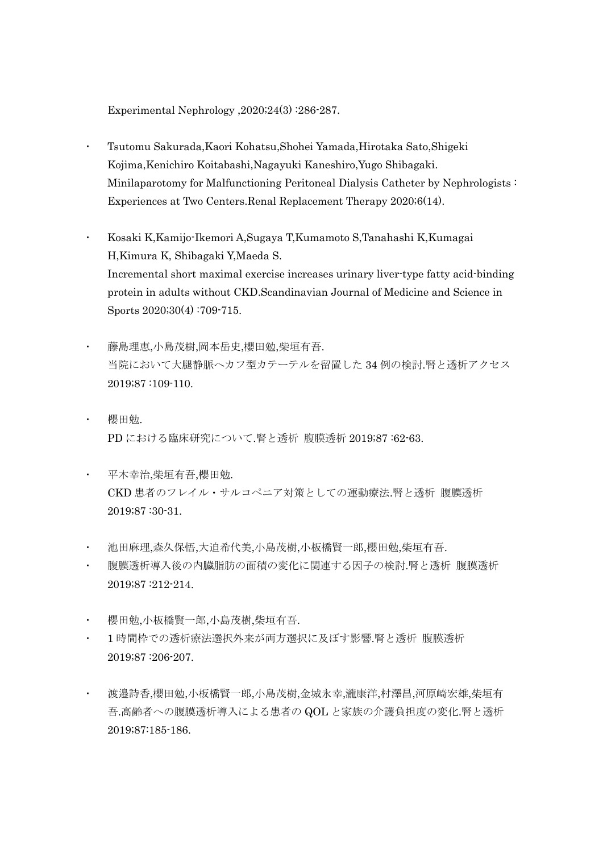Experimental Nephrology ,2020;24(3) :286-287.

- Tsutomu Sakurada,Kaori Kohatsu,Shohei Yamada,Hirotaka Sato,Shigeki Kojima,Kenichiro Koitabashi,Nagayuki Kaneshiro,Yugo Shibagaki. Minilaparotomy for Malfunctioning Peritoneal Dialysis Catheter by Nephrologists : Experiences at Two Centers.Renal Replacement Therapy 2020;6(14).
- Kosaki K,Kamijo-Ikemori A,Sugaya T,Kumamoto S,Tanahashi K,Kumagai H,Kimura K, Shibagaki Y,Maeda S. Incremental short maximal exercise increases urinary liver-type fatty acid-binding protein in adults without CKD.Scandinavian Journal of Medicine and Science in Sports 2020;30(4) :709-715.
- 藤島理恵,小島茂樹,岡本岳史,櫻田勉,柴垣有吾. 当院において大腿静脈へカフ型カテーテルを留置した 34 例の検討.腎と透析アクセス 2019;87 :109-110.
- 櫻田勉. PD における臨床研究について.腎と透析 腹膜透析 2019;87 :62-63.
- 平木幸治,柴垣有吾,櫻田勉. CKD 患者のフレイル・サルコペニア対策としての運動療法.腎と透析 腹膜透析 2019;87 :30-31.
- 池田麻理,森久保悟,大迫希代美,小島茂樹,小板橋賢一郎,櫻田勉,柴垣有吾.
- 腹膜透析導入後の内臓脂肪の面積の変化に関連する因子の検討.腎と透析 腹膜透析 2019;87 :212-214.
- 櫻田勉,小板橋賢一郎,小島茂樹,柴垣有吾.
- 1時間枠での透析療法選択外来が両方選択に及ぼす影響.腎と透析 腹膜透析 2019;87 :206-207.
- 渡邉詩香,櫻田勉,小板橋賢一郎,小島茂樹,金城永幸,瀧康洋,村澤昌,河原崎宏雄,柴垣有 吾.高齢者への腹膜透析導入による患者の QOL と家族の介護負担度の変化.腎と透析 2019;87:185-186.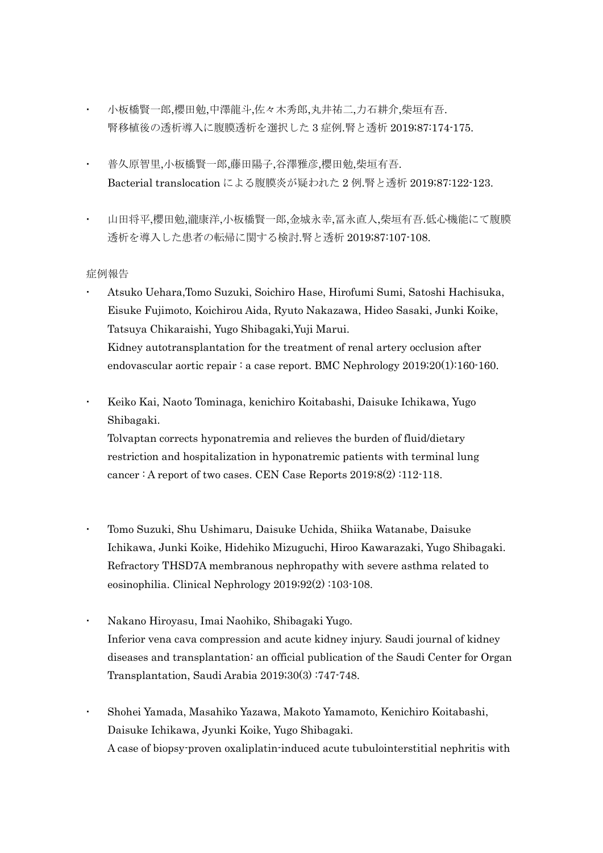- 小板橋賢一郎,櫻田勉,中澤龍斗,佐々木秀郎,丸井祐二,力石耕介,柴垣有吾. 腎移植後の透析導入に腹膜透析を選択した 3 症例.腎と透析 2019;87:174-175.
- 普久原智里,小板橋賢一郎,藤田陽子,谷澤雅彦,櫻田勉,柴垣有吾. Bacterial translocation による腹膜炎が疑われた 2 例.腎と透析 2019;87:122-123.
- 山田将平,櫻田勉,瀧康洋,小板橋賢一郎,金城永幸,冨永直人,柴垣有吾.低心機能にて腹膜 透析を導入した患者の転帰に関する検討.腎と透析 2019;87:107-108.

## 症例報告

- Atsuko Uehara,Tomo Suzuki, Soichiro Hase, Hirofumi Sumi, Satoshi Hachisuka, Eisuke Fujimoto, Koichirou Aida, Ryuto Nakazawa, Hideo Sasaki, Junki Koike, Tatsuya Chikaraishi, Yugo Shibagaki,Yuji Marui. Kidney autotransplantation for the treatment of renal artery occlusion after endovascular aortic repair : a case report. BMC Nephrology 2019;20(1):160-160.
- Keiko Kai, Naoto Tominaga, kenichiro Koitabashi, Daisuke Ichikawa, Yugo Shibagaki.

Tolvaptan corrects hyponatremia and relieves the burden of fluid/dietary restriction and hospitalization in hyponatremic patients with terminal lung cancer : A report of two cases. CEN Case Reports 2019;8(2) :112-118.

- Tomo Suzuki, Shu Ushimaru, Daisuke Uchida, Shiika Watanabe, Daisuke Ichikawa, Junki Koike, Hidehiko Mizuguchi, Hiroo Kawarazaki, Yugo Shibagaki. Refractory THSD7A membranous nephropathy with severe asthma related to eosinophilia. Clinical Nephrology 2019;92(2) :103-108.
- Nakano Hiroyasu, Imai Naohiko, Shibagaki Yugo. Inferior vena cava compression and acute kidney injury. Saudi journal of kidney diseases and transplantation: an official publication of the Saudi Center for Organ Transplantation, Saudi Arabia 2019;30(3) :747-748.
- Shohei Yamada, Masahiko Yazawa, Makoto Yamamoto, Kenichiro Koitabashi, Daisuke Ichikawa, Jyunki Koike, Yugo Shibagaki. A case of biopsy-proven oxaliplatin-induced acute tubulointerstitial nephritis with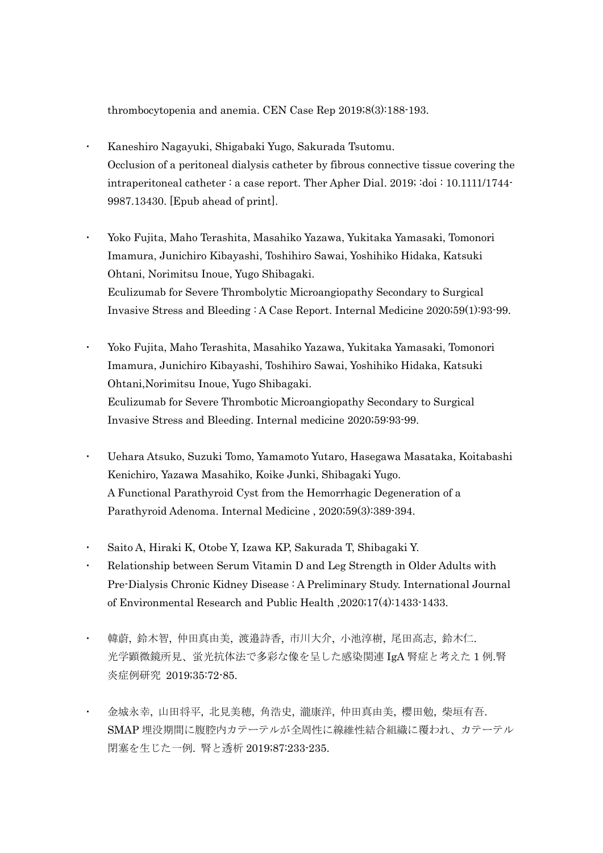thrombocytopenia and anemia. CEN Case Rep 2019;8(3):188-193.

- Kaneshiro Nagayuki, Shigabaki Yugo, Sakurada Tsutomu. Occlusion of a peritoneal dialysis catheter by fibrous connective tissue covering the intraperitoneal catheter : a case report. Ther Apher Dial. 2019; :doi : 10.1111/1744- 9987.13430. [Epub ahead of print].
- Yoko Fujita, Maho Terashita, Masahiko Yazawa, Yukitaka Yamasaki, Tomonori Imamura, Junichiro Kibayashi, Toshihiro Sawai, Yoshihiko Hidaka, Katsuki Ohtani, Norimitsu Inoue, Yugo Shibagaki. Eculizumab for Severe Thrombolytic Microangiopathy Secondary to Surgical Invasive Stress and Bleeding : A Case Report. Internal Medicine 2020;59(1):93-99.
- Yoko Fujita, Maho Terashita, Masahiko Yazawa, Yukitaka Yamasaki, Tomonori Imamura, Junichiro Kibayashi, Toshihiro Sawai, Yoshihiko Hidaka, Katsuki Ohtani,Norimitsu Inoue, Yugo Shibagaki. Eculizumab for Severe Thrombotic Microangiopathy Secondary to Surgical Invasive Stress and Bleeding. Internal medicine 2020;59:93-99.
- Uehara Atsuko, Suzuki Tomo, Yamamoto Yutaro, Hasegawa Masataka, Koitabashi Kenichiro, Yazawa Masahiko, Koike Junki, Shibagaki Yugo. A Functional Parathyroid Cyst from the Hemorrhagic Degeneration of a Parathyroid Adenoma. Internal Medicine , 2020;59(3):389-394.
- Saito A, Hiraki K, Otobe Y, Izawa KP, Sakurada T, Shibagaki Y.
- Relationship between Serum Vitamin D and Leg Strength in Older Adults with Pre-Dialysis Chronic Kidney Disease : A Preliminary Study. International Journal of Environmental Research and Public Health ,2020;17(4):1433-1433.
- 韓蔚, 鈴木智, 仲田真由美, 渡邉詩香, 市川大介, 小池淳樹, 尾田高志, 鈴木仁. 光学顕微鏡所見、蛍光抗体法で多彩な像を呈した感染関連 IgA 腎症と考えた 1 例.腎 炎症例研究 2019;35:72-85.
- 金城永幸, 山田将平, 北見美穂, 角浩史, 瀧康洋, 仲田真由美, 櫻田勉, 柴垣有吾. SMAP 埋没期間に腹腔内カテーテルが全周性に線維性結合組織に覆われ、カテーテル 閉塞を生じた一例. 腎と透析 2019;87:233-235.